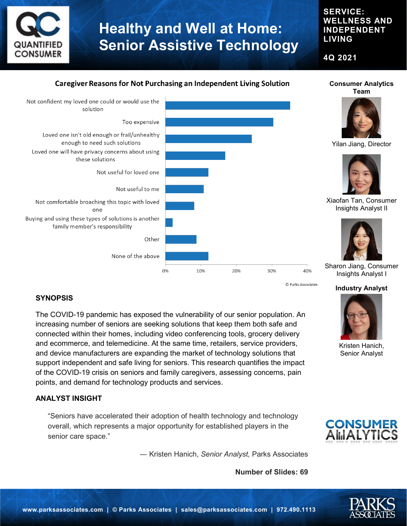

### **SERVICE: WELLNESS AND INDEPENDENT LIVING**

**Consumer Analytics** 

**Industry Analyst**

Kristen Hanich, Senior Analyst

**CONSUME AILIALYTIC** 

**4Q 2021**

### **Caregiver Reasons for Not Purchasing an Independent Living Solution**



© Parks Associates

### **SYNOPSIS**

The COVID-19 pandemic has exposed the vulnerability of our senior population. An increasing number of seniors are seeking solutions that keep them both safe and connected within their homes, including video conferencing tools, grocery delivery and ecommerce, and telemedicine. At the same time, retailers, service providers, and device manufacturers are expanding the market of technology solutions that support independent and safe living for seniors. This research quantifies the impact of the COVID-19 crisis on seniors and family caregivers, assessing concerns, pain points, and demand for technology products and services.

#### **ANALYST INSIGHT**

"Seniors have accelerated their adoption of health technology and technology overall, which represents a major opportunity for established players in the senior care space."

― Kristen Hanich, *Senior Analyst,* Parks Associates

**Number of Slides: 69**

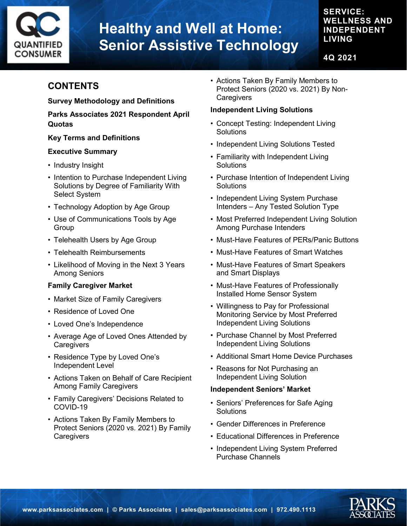

## **SERVICE: WELLNESS AND INDEPENDENT LIVING**

**4Q 2021**

# **CONTENTS**

### **Survey Methodology and Definitions**

**Parks Associates 2021 Respondent April Quotas**

### **Key Terms and Definitions**

#### **Executive Summary**

- Industry Insight
- Intention to Purchase Independent Living Solutions by Degree of Familiarity With Select System
- Technology Adoption by Age Group
- Use of Communications Tools by Age Group
- Telehealth Users by Age Group
- Telehealth Reimbursements
- Likelihood of Moving in the Next 3 Years Among Seniors

### **Family Caregiver Market**

- Market Size of Family Caregivers
- Residence of Loved One
- Loved One's Independence
- Average Age of Loved Ones Attended by **Caregivers**
- Residence Type by Loved One's Independent Level
- Actions Taken on Behalf of Care Recipient Among Family Caregivers
- Family Caregivers' Decisions Related to COVID-19
- Actions Taken By Family Members to Protect Seniors (2020 vs. 2021) By Family **Caregivers**

• Actions Taken By Family Members to Protect Seniors (2020 vs. 2021) By Non-**Caregivers** 

### **Independent Living Solutions**

- Concept Testing: Independent Living **Solutions**
- Independent Living Solutions Tested
- Familiarity with Independent Living **Solutions**
- Purchase Intention of Independent Living **Solutions**
- Independent Living System Purchase Intenders – Any Tested Solution Type
- Most Preferred Independent Living Solution Among Purchase Intenders
- Must-Have Features of PERs/Panic Buttons
- Must-Have Features of Smart Watches
- Must-Have Features of Smart Speakers and Smart Displays
- Must-Have Features of Professionally Installed Home Sensor System
- Willingness to Pay for Professional Monitoring Service by Most Preferred Independent Living Solutions
- Purchase Channel by Most Preferred Independent Living Solutions
- Additional Smart Home Device Purchases
- Reasons for Not Purchasing an Independent Living Solution

### **Independent Seniors' Market**

- Seniors' Preferences for Safe Aging **Solutions**
- Gender Differences in Preference
- Educational Differences in Preference
- Independent Living System Preferred Purchase Channels

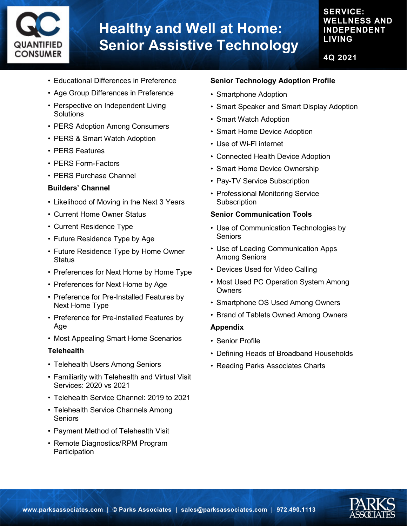

### **SERVICE: WELLNESS AND INDEPENDENT LIVING**

**4Q 2021**

- Educational Differences in Preference
- Age Group Differences in Preference
- Perspective on Independent Living **Solutions**
- PERS Adoption Among Consumers
- PERS & Smart Watch Adoption
- PERS Features
- PERS Form-Factors
- PERS Purchase Channel

#### **Builders' Channel**

- Likelihood of Moving in the Next 3 Years
- Current Home Owner Status
- Current Residence Type
- Future Residence Type by Age
- Future Residence Type by Home Owner **Status**
- Preferences for Next Home by Home Type
- Preferences for Next Home by Age
- Preference for Pre-Installed Features by Next Home Type
- Preference for Pre-installed Features by Age
- Most Appealing Smart Home Scenarios

#### **Telehealth**

- Telehealth Users Among Seniors
- Familiarity with Telehealth and Virtual Visit Services: 2020 vs 2021
- Telehealth Service Channel: 2019 to 2021
- Telehealth Service Channels Among Seniors
- Payment Method of Telehealth Visit
- Remote Diagnostics/RPM Program **Participation**

#### **Senior Technology Adoption Profile**

- Smartphone Adoption
- Smart Speaker and Smart Display Adoption
- Smart Watch Adoption
- Smart Home Device Adoption
- Use of Wi-Fi internet
- Connected Health Device Adoption
- Smart Home Device Ownership
- Pay-TV Service Subscription
- Professional Monitoring Service **Subscription**

#### **Senior Communication Tools**

- Use of Communication Technologies by Seniors
- Use of Leading Communication Apps Among Seniors
- Devices Used for Video Calling
- Most Used PC Operation System Among **Owners**
- Smartphone OS Used Among Owners
- Brand of Tablets Owned Among Owners

#### **Appendix**

- Senior Profile
- Defining Heads of Broadband Households
- Reading Parks Associates Charts